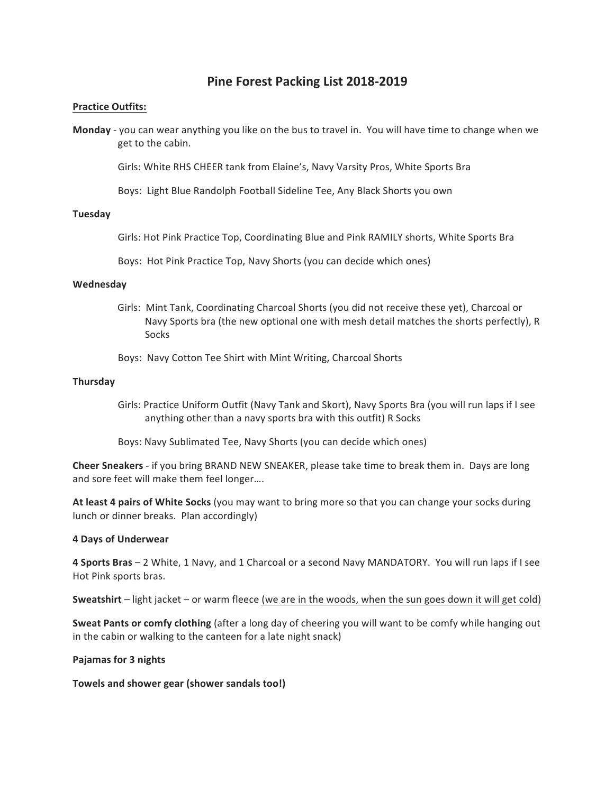# **Pine Forest Packing List 2018-2019**

## **Practice Outfits:**

**Monday** - you can wear anything you like on the bus to travel in. You will have time to change when we get to the cabin.

Girls: White RHS CHEER tank from Elaine's, Navy Varsity Pros, White Sports Bra

Boys: Light Blue Randolph Football Sideline Tee, Any Black Shorts you own

### **Tuesday**

Girls: Hot Pink Practice Top, Coordinating Blue and Pink RAMILY shorts, White Sports Bra

Boys: Hot Pink Practice Top, Navy Shorts (you can decide which ones)

## **Wednesday**

- Girls: Mint Tank, Coordinating Charcoal Shorts (you did not receive these yet), Charcoal or Navy Sports bra (the new optional one with mesh detail matches the shorts perfectly), R Socks
- Boys: Navy Cotton Tee Shirt with Mint Writing, Charcoal Shorts

## **Thursday**

Girls: Practice Uniform Outfit (Navy Tank and Skort), Navy Sports Bra (you will run laps if I see anything other than a navy sports bra with this outfit) R Socks

Boys: Navy Sublimated Tee, Navy Shorts (you can decide which ones)

**Cheer Sneakers** - if you bring BRAND NEW SNEAKER, please take time to break them in. Days are long and sore feet will make them feel longer....

At least 4 pairs of White Socks (you may want to bring more so that you can change your socks during lunch or dinner breaks. Plan accordingly)

### **4 Days of Underwear**

**4 Sports Bras** – 2 White, 1 Navy, and 1 Charcoal or a second Navy MANDATORY. You will run laps if I see Hot Pink sports bras.

**Sweatshirt** – light jacket – or warm fleece (we are in the woods, when the sun goes down it will get cold)

**Sweat Pants or comfy clothing** (after a long day of cheering you will want to be comfy while hanging out in the cabin or walking to the canteen for a late night snack)

### **Pajamas for 3 nights**

**Towels and shower gear (shower sandals too!)**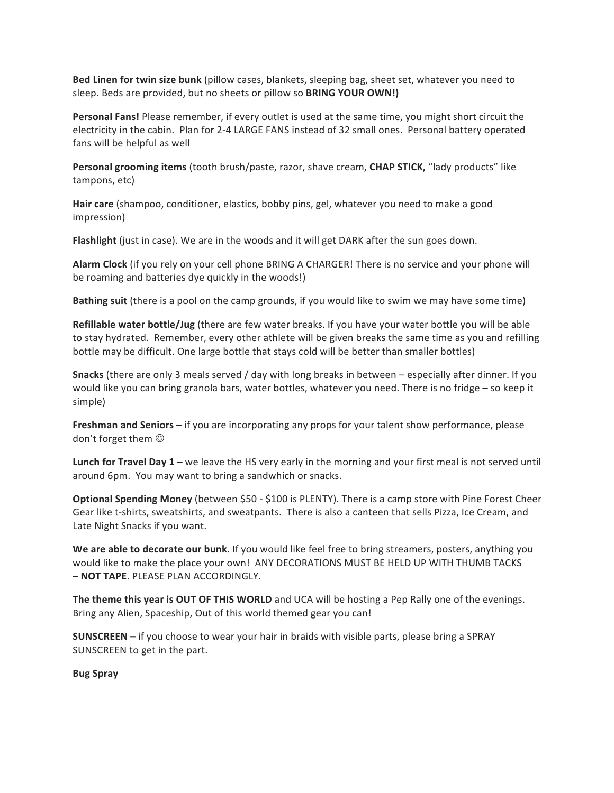**Bed Linen for twin size bunk** (pillow cases, blankets, sleeping bag, sheet set, whatever you need to sleep. Beds are provided, but no sheets or pillow so **BRING YOUR OWN!**)

**Personal Fans!** Please remember, if every outlet is used at the same time, you might short circuit the electricity in the cabin. Plan for 2-4 LARGE FANS instead of 32 small ones. Personal battery operated fans will be helpful as well

**Personal grooming items** (tooth brush/paste, razor, shave cream, **CHAP STICK,** "lady products" like tampons, etc)

Hair care (shampoo, conditioner, elastics, bobby pins, gel, whatever you need to make a good impression)

**Flashlight** (just in case). We are in the woods and it will get DARK after the sun goes down.

**Alarm Clock** (if you rely on your cell phone BRING A CHARGER! There is no service and your phone will be roaming and batteries dye quickly in the woods!)

**Bathing suit** (there is a pool on the camp grounds, if you would like to swim we may have some time)

**Refillable water bottle/Jug** (there are few water breaks. If you have your water bottle you will be able to stay hydrated. Remember, every other athlete will be given breaks the same time as you and refilling bottle may be difficult. One large bottle that stays cold will be better than smaller bottles)

**Snacks** (there are only 3 meals served / day with long breaks in between – especially after dinner. If you would like you can bring granola bars, water bottles, whatever you need. There is no fridge – so keep it simple)

**Freshman and Seniors** – if you are incorporating any props for your talent show performance, please don't forget them  $\odot$ 

**Lunch for Travel Day 1** – we leave the HS very early in the morning and your first meal is not served until around 6pm. You may want to bring a sandwhich or snacks.

**Optional Spending Money** (between \$50 - \$100 is PLENTY). There is a camp store with Pine Forest Cheer Gear like t-shirts, sweatshirts, and sweatpants. There is also a canteen that sells Pizza, Ice Cream, and Late Night Snacks if you want.

**We are able to decorate our bunk**. If you would like feel free to bring streamers, posters, anything you would like to make the place your own! ANY DECORATIONS MUST BE HELD UP WITH THUMB TACKS – **NOT TAPE**. PLEASE PLAN ACCORDINGLY.

**The theme this year is OUT OF THIS WORLD** and UCA will be hosting a Pep Rally one of the evenings. Bring any Alien, Spaceship, Out of this world themed gear you can!

**SUNSCREEN** – if you choose to wear your hair in braids with visible parts, please bring a SPRAY SUNSCREEN to get in the part.

**Bug Spray**